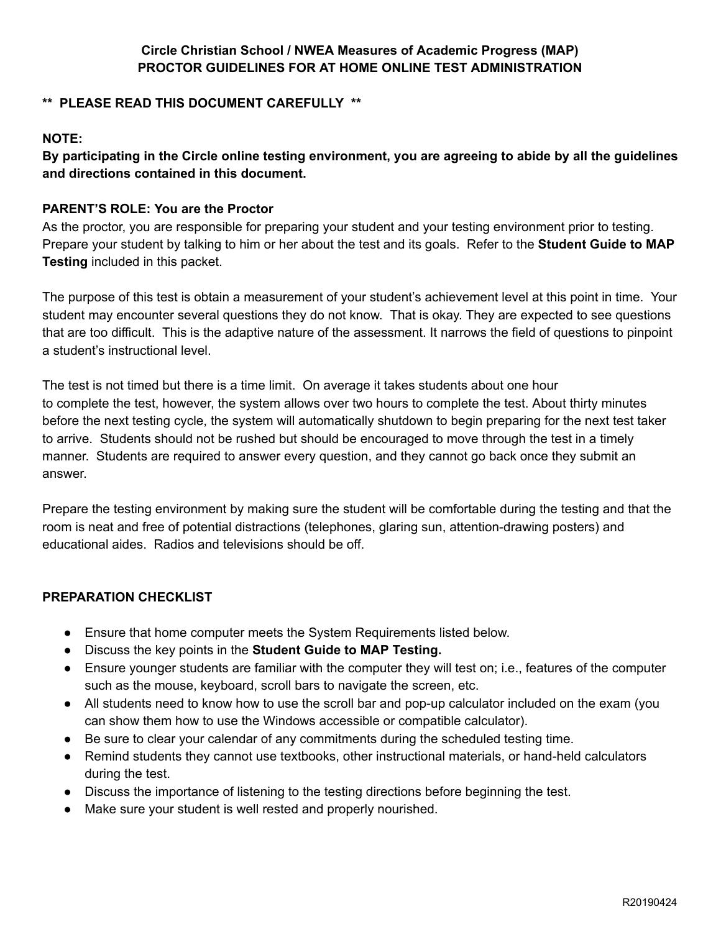## **\*\* PLEASE READ THIS DOCUMENT CAREFULLY \*\***

## **NOTE:**

By participating in the Circle online testing environment, you are agreeing to abide by all the guidelines **and directions contained in this document.**

# **PARENT'S ROLE: You are the Proctor**

As the proctor, you are responsible for preparing your student and your testing environment prior to testing. Prepare your student by talking to him or her about the test and its goals. Refer to the **Student Guide to MAP Testing** included in this packet.

The purpose of this test is obtain a measurement of your student's achievement level at this point in time. Your student may encounter several questions they do not know. That is okay. They are expected to see questions that are too difficult. This is the adaptive nature of the assessment. It narrows the field of questions to pinpoint a student's instructional level.

The test is not timed but there is a time limit. On average it takes students about one hour to complete the test, however, the system allows over two hours to complete the test. About thirty minutes before the next testing cycle, the system will automatically shutdown to begin preparing for the next test taker to arrive. Students should not be rushed but should be encouraged to move through the test in a timely manner. Students are required to answer every question, and they cannot go back once they submit an answer.

Prepare the testing environment by making sure the student will be comfortable during the testing and that the room is neat and free of potential distractions (telephones, glaring sun, attention-drawing posters) and educational aides. Radios and televisions should be off.

## **PREPARATION CHECKLIST**

- Ensure that home computer meets the System Requirements listed below.
- Discuss the key points in the **Student Guide to MAP Testing.**
- Ensure younger students are familiar with the computer they will test on; i.e., features of the computer such as the mouse, keyboard, scroll bars to navigate the screen, etc.
- All students need to know how to use the scroll bar and pop-up calculator included on the exam (you can show them how to use the Windows accessible or compatible calculator).
- Be sure to clear your calendar of any commitments during the scheduled testing time.
- Remind students they cannot use textbooks, other instructional materials, or hand-held calculators during the test.
- Discuss the importance of listening to the testing directions before beginning the test.
- Make sure your student is well rested and properly nourished.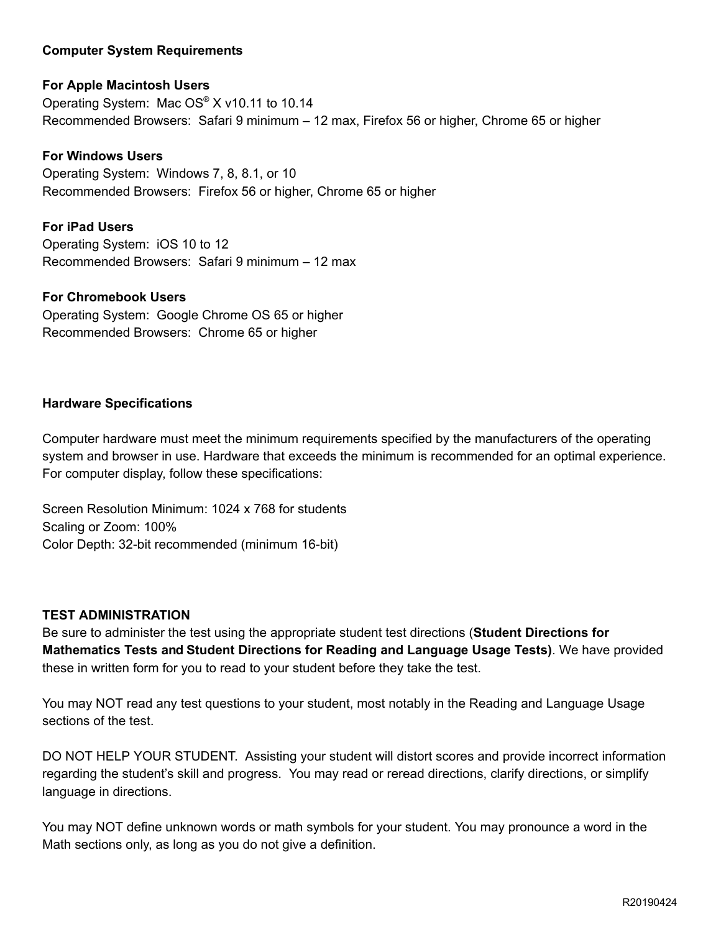### **Computer System Requirements**

## **For Apple Macintosh Users**

Operating System: Mac OS® X v10.11 to 10.14 Recommended Browsers: Safari 9 minimum – 12 max, Firefox 56 or higher, Chrome 65 or higher

#### **For Windows Users**

Operating System: Windows 7, 8, 8.1, or 10 Recommended Browsers: Firefox 56 or higher, Chrome 65 or higher

### **For iPad Users**

Operating System: iOS 10 to 12 Recommended Browsers: Safari 9 minimum – 12 max

#### **For Chromebook Users**

Operating System: Google Chrome OS 65 or higher Recommended Browsers: Chrome 65 or higher

#### **Hardware Specifications**

Computer hardware must meet the minimum requirements specified by the manufacturers of the operating system and browser in use. Hardware that exceeds the minimum is recommended for an optimal experience. For computer display, follow these specifications:

Screen Resolution Minimum: 1024 x 768 for students Scaling or Zoom: 100% Color Depth: 32-bit recommended (minimum 16-bit)

## **TEST ADMINISTRATION**

Be sure to administer the test using the appropriate student test directions (**Student Directions for Mathematics Tests and Student Directions for Reading and Language Usage Tests)**. We have provided these in written form for you to read to your student before they take the test.

You may NOT read any test questions to your student, most notably in the Reading and Language Usage sections of the test.

DO NOT HELP YOUR STUDENT. Assisting your student will distort scores and provide incorrect information regarding the student's skill and progress. You may read or reread directions, clarify directions, or simplify language in directions.

You may NOT define unknown words or math symbols for your student. You may pronounce a word in the Math sections only, as long as you do not give a definition.